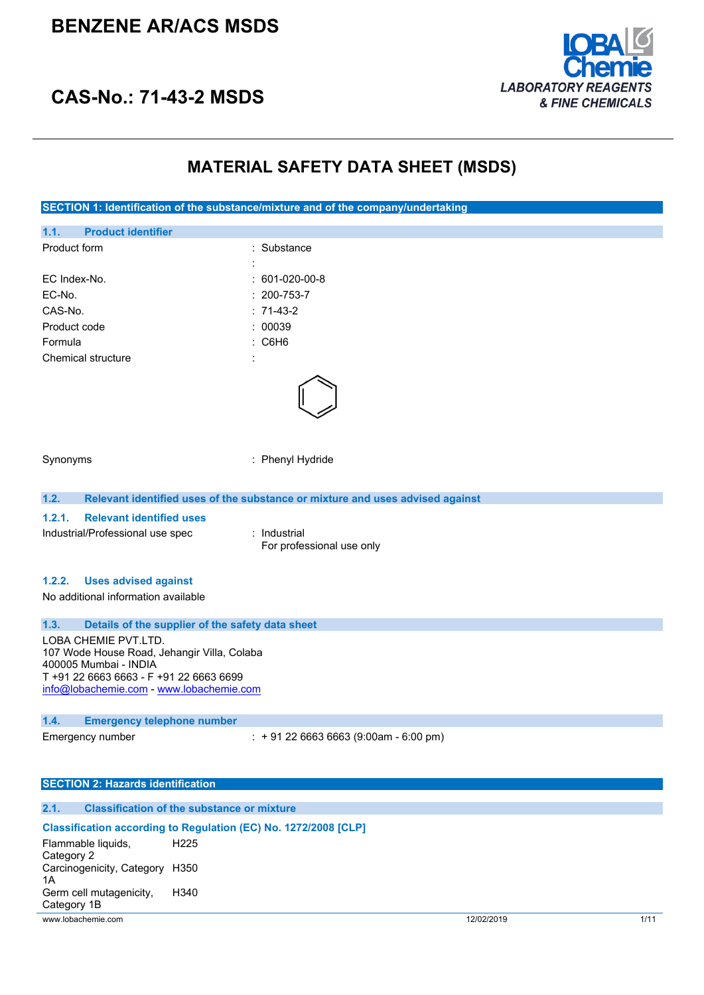# **BENZENE AR/ACS MSDS**



# **CAS-No.: 71-43-2 MSDS**

# **MATERIAL SAFETY DATA SHEET (MSDS)**

| SECTION 1: Identification of the substance/mixture and of the company/undertaking                                                                                                   |                                                                               |            |      |
|-------------------------------------------------------------------------------------------------------------------------------------------------------------------------------------|-------------------------------------------------------------------------------|------------|------|
| <b>Product identifier</b><br>1.1.                                                                                                                                                   |                                                                               |            |      |
| Product form                                                                                                                                                                        | : Substance                                                                   |            |      |
|                                                                                                                                                                                     |                                                                               |            |      |
| EC Index-No.                                                                                                                                                                        | 601-020-00-8                                                                  |            |      |
| EC-No.                                                                                                                                                                              | $: 200 - 753 - 7$                                                             |            |      |
| CAS-No.                                                                                                                                                                             | $: 71-43-2$                                                                   |            |      |
| Product code                                                                                                                                                                        | : 00039                                                                       |            |      |
| Formula                                                                                                                                                                             | C6H6                                                                          |            |      |
| Chemical structure                                                                                                                                                                  |                                                                               |            |      |
|                                                                                                                                                                                     |                                                                               |            |      |
| Synonyms                                                                                                                                                                            | : Phenyl Hydride                                                              |            |      |
| 1.2.                                                                                                                                                                                | Relevant identified uses of the substance or mixture and uses advised against |            |      |
| 1.2.1.<br><b>Relevant identified uses</b>                                                                                                                                           |                                                                               |            |      |
| Industrial/Professional use spec                                                                                                                                                    | : Industrial<br>For professional use only                                     |            |      |
| <b>Uses advised against</b><br>1.2.2.<br>No additional information available                                                                                                        |                                                                               |            |      |
|                                                                                                                                                                                     |                                                                               |            |      |
| 1.3.                                                                                                                                                                                | Details of the supplier of the safety data sheet                              |            |      |
| LOBA CHEMIE PVT.LTD.<br>107 Wode House Road, Jehangir Villa, Colaba<br>400005 Mumbai - INDIA<br>T +91 22 6663 6663 - F +91 22 6663 6699<br>info@lobachemie.com - www.lobachemie.com |                                                                               |            |      |
| 1.4.<br><b>Emergency telephone number</b>                                                                                                                                           |                                                                               |            |      |
| Emergency number                                                                                                                                                                    | $: +912266636663(9:00am - 6:00 pm)$                                           |            |      |
| <b>SECTION 2: Hazards identification</b>                                                                                                                                            |                                                                               |            |      |
| 2.1.                                                                                                                                                                                | <b>Classification of the substance or mixture</b>                             |            |      |
|                                                                                                                                                                                     | Classification according to Regulation (EC) No. 1272/2008 [CLP]               |            |      |
| Flammable liquids,<br>H <sub>225</sub><br>Category 2                                                                                                                                |                                                                               |            |      |
| Carcinogenicity, Category H350<br>1A                                                                                                                                                |                                                                               |            |      |
| Germ cell mutagenicity,<br>H340<br>Category 1B                                                                                                                                      |                                                                               |            |      |
| www.lobachemie.com                                                                                                                                                                  |                                                                               | 12/02/2019 | 1/11 |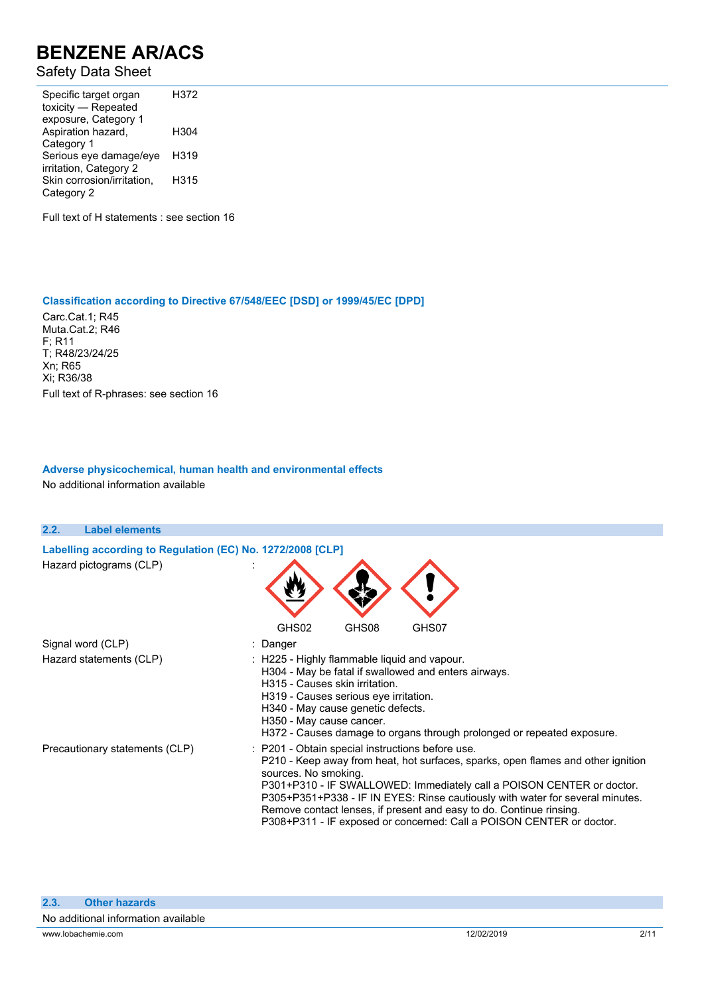### Safety Data Sheet

Specific target organ toxicity — Repeated exposure, Category 1 H372 Aspiration hazard, Category 1 H304 Serious eye damage/eye irritation, Category 2 H319 Skin corrosion/irritation, Category 2 H315

Full text of H statements : see section 16

#### **Classification according to Directive 67/548/EEC [DSD] or 1999/45/EC [DPD]**

Carc.Cat.1; R45 Muta.Cat.2; R46 F; R11 T; R48/23/24/25 Xn; R65 Xi; R36/38 Full text of R-phrases: see section 16

#### **Adverse physicochemical, human health and environmental effects**

No additional information available

| 2.2.<br><b>Label elements</b>                              |                                                                                                                                                                                                                                                                                                                                                                                                                                                                       |
|------------------------------------------------------------|-----------------------------------------------------------------------------------------------------------------------------------------------------------------------------------------------------------------------------------------------------------------------------------------------------------------------------------------------------------------------------------------------------------------------------------------------------------------------|
| Labelling according to Regulation (EC) No. 1272/2008 [CLP] |                                                                                                                                                                                                                                                                                                                                                                                                                                                                       |
| Hazard pictograms (CLP)                                    | GHS02<br>GHS08                                                                                                                                                                                                                                                                                                                                                                                                                                                        |
| Signal word (CLP)                                          | GHS07<br>: Danger                                                                                                                                                                                                                                                                                                                                                                                                                                                     |
| Hazard statements (CLP)                                    | : H225 - Highly flammable liquid and vapour.<br>H304 - May be fatal if swallowed and enters airways.<br>H315 - Causes skin irritation.<br>H319 - Causes serious eye irritation.<br>H340 - May cause genetic defects.<br>H350 - May cause cancer.<br>H372 - Causes damage to organs through prolonged or repeated exposure.                                                                                                                                            |
| Precautionary statements (CLP)                             | : P201 - Obtain special instructions before use.<br>P210 - Keep away from heat, hot surfaces, sparks, open flames and other ignition<br>sources. No smoking.<br>P301+P310 - IF SWALLOWED: Immediately call a POISON CENTER or doctor.<br>P305+P351+P338 - IF IN EYES: Rinse cautiously with water for several minutes.<br>Remove contact lenses, if present and easy to do. Continue rinsing.<br>P308+P311 - IF exposed or concerned: Call a POISON CENTER or doctor. |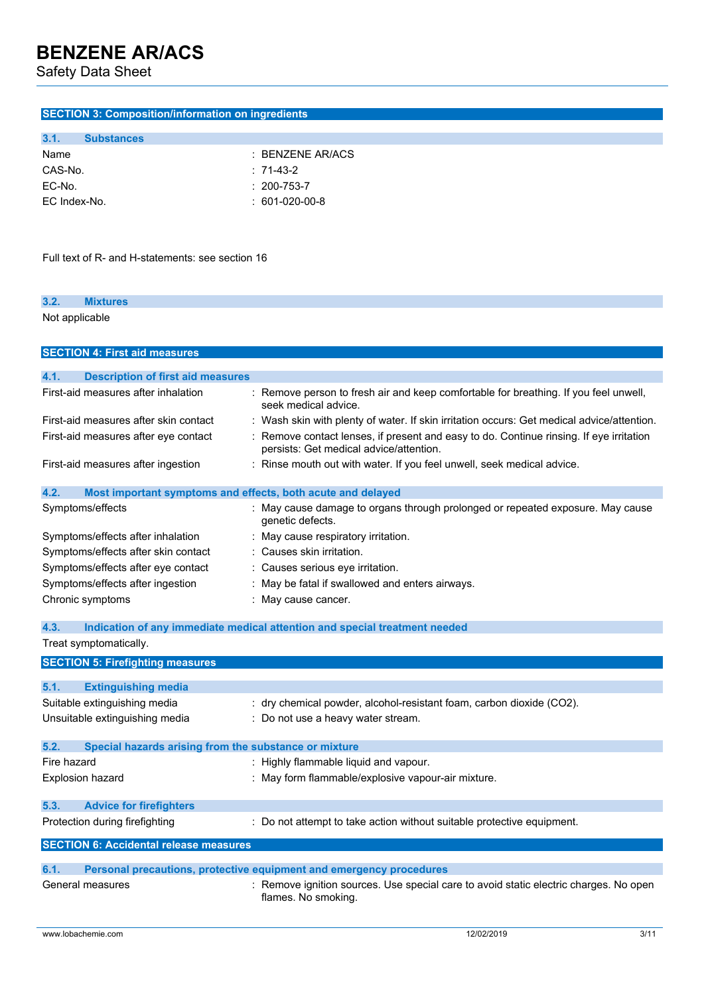Safety Data Sheet

### **SECTION 3: Composition/information on ingredients**

| 3.1.         | <b>Substances</b> |                   |
|--------------|-------------------|-------------------|
| Name         |                   | : BENZENE AR/ACS  |
| CAS-No.      |                   | $: 71-43-2$       |
| EC-No.       |                   | $: 200 - 753 - 7$ |
| EC Index-No. |                   | $: 601-020-00-8$  |

Full text of R- and H-statements: see section 16

| 3.2.           | <b>Mixtures</b> |  |  |
|----------------|-----------------|--|--|
| Not applicable |                 |  |  |

| <b>SECTION 4: First aid measures</b>                          |                                                                                                                                  |
|---------------------------------------------------------------|----------------------------------------------------------------------------------------------------------------------------------|
| 4.1.                                                          |                                                                                                                                  |
| <b>Description of first aid measures</b>                      |                                                                                                                                  |
| First-aid measures after inhalation                           | Remove person to fresh air and keep comfortable for breathing. If you feel unwell,<br>seek medical advice.                       |
| First-aid measures after skin contact                         | : Wash skin with plenty of water. If skin irritation occurs: Get medical advice/attention.                                       |
| First-aid measures after eye contact                          | Remove contact lenses, if present and easy to do. Continue rinsing. If eye irritation<br>persists: Get medical advice/attention. |
| First-aid measures after ingestion                            | : Rinse mouth out with water. If you feel unwell, seek medical advice.                                                           |
| 4.2.                                                          | Most important symptoms and effects, both acute and delayed                                                                      |
| Symptoms/effects                                              | May cause damage to organs through prolonged or repeated exposure. May cause<br>genetic defects.                                 |
| Symptoms/effects after inhalation                             | : May cause respiratory irritation.                                                                                              |
| Symptoms/effects after skin contact                           | : Causes skin irritation.                                                                                                        |
| Symptoms/effects after eye contact                            | : Causes serious eye irritation.                                                                                                 |
| Symptoms/effects after ingestion                              | May be fatal if swallowed and enters airways.                                                                                    |
| Chronic symptoms                                              | : May cause cancer.                                                                                                              |
| 4.3.                                                          | Indication of any immediate medical attention and special treatment needed                                                       |
| Treat symptomatically.                                        |                                                                                                                                  |
| <b>SECTION 5: Firefighting measures</b>                       |                                                                                                                                  |
| 5.1.<br><b>Extinguishing media</b>                            |                                                                                                                                  |
| Suitable extinguishing media                                  | : dry chemical powder, alcohol-resistant foam, carbon dioxide (CO2).                                                             |
|                                                               |                                                                                                                                  |
| Unsuitable extinguishing media                                | Do not use a heavy water stream.                                                                                                 |
| Special hazards arising from the substance or mixture<br>5.2. |                                                                                                                                  |
| Fire hazard                                                   | : Highly flammable liquid and vapour.                                                                                            |
| Explosion hazard                                              | May form flammable/explosive vapour-air mixture.                                                                                 |
| <b>Advice for firefighters</b><br>5.3.                        |                                                                                                                                  |
| Protection during firefighting                                | Do not attempt to take action without suitable protective equipment.                                                             |

**SECTION 6: Accidental release measures 6.1. Personal precautions, protective equipment and emergency procedures**

### General measures **interpretatal measures** : Remove ignition sources. Use special care to avoid static electric charges. No open flames. No smoking.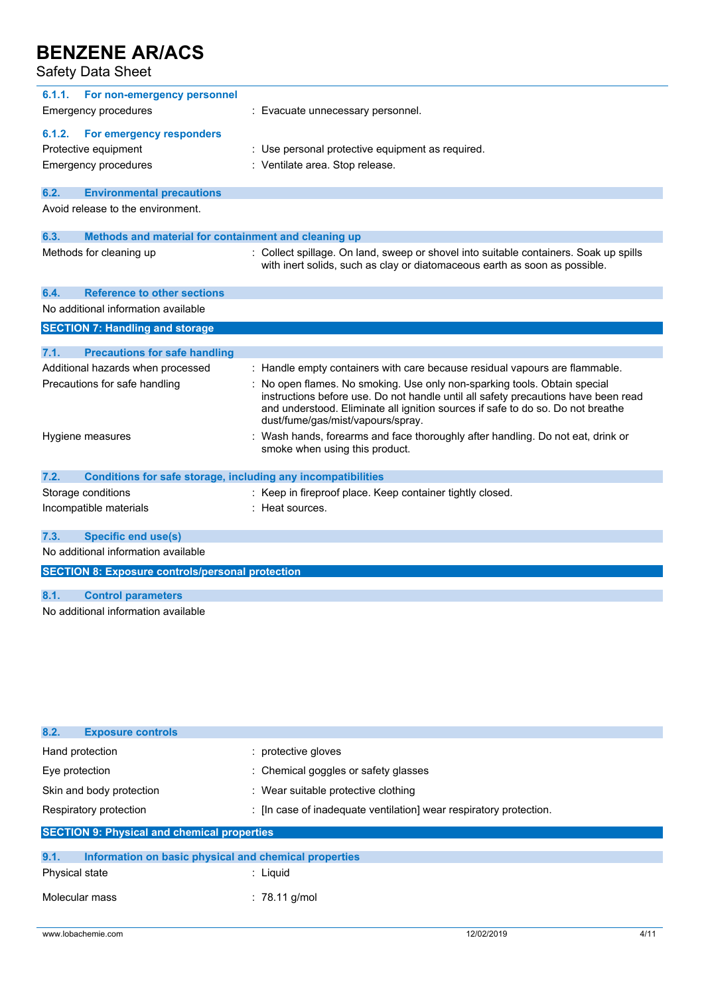Safety Data Sheet

| 6.1.1. | For non-emergency personnel                                  |                                                                                                                                                                                                                                                                                       |
|--------|--------------------------------------------------------------|---------------------------------------------------------------------------------------------------------------------------------------------------------------------------------------------------------------------------------------------------------------------------------------|
|        | Emergency procedures                                         | : Evacuate unnecessary personnel.                                                                                                                                                                                                                                                     |
| 6.1.2. | For emergency responders                                     |                                                                                                                                                                                                                                                                                       |
|        |                                                              |                                                                                                                                                                                                                                                                                       |
|        | Protective equipment                                         | : Use personal protective equipment as required.                                                                                                                                                                                                                                      |
|        | <b>Emergency procedures</b>                                  | : Ventilate area. Stop release.                                                                                                                                                                                                                                                       |
| 6.2.   | <b>Environmental precautions</b>                             |                                                                                                                                                                                                                                                                                       |
|        | Avoid release to the environment.                            |                                                                                                                                                                                                                                                                                       |
| 6.3.   | Methods and material for containment and cleaning up         |                                                                                                                                                                                                                                                                                       |
|        | Methods for cleaning up                                      | : Collect spillage. On land, sweep or shovel into suitable containers. Soak up spills<br>with inert solids, such as clay or diatomaceous earth as soon as possible.                                                                                                                   |
| 6.4.   | <b>Reference to other sections</b>                           |                                                                                                                                                                                                                                                                                       |
|        | No additional information available                          |                                                                                                                                                                                                                                                                                       |
|        | <b>SECTION 7: Handling and storage</b>                       |                                                                                                                                                                                                                                                                                       |
|        |                                                              |                                                                                                                                                                                                                                                                                       |
| 7.1.   | <b>Precautions for safe handling</b>                         |                                                                                                                                                                                                                                                                                       |
|        | Additional hazards when processed                            | : Handle empty containers with care because residual vapours are flammable.                                                                                                                                                                                                           |
|        | Precautions for safe handling                                | No open flames. No smoking. Use only non-sparking tools. Obtain special<br>instructions before use. Do not handle until all safety precautions have been read<br>and understood. Eliminate all ignition sources if safe to do so. Do not breathe<br>dust/fume/gas/mist/vapours/spray. |
|        | Hygiene measures                                             | Wash hands, forearms and face thoroughly after handling. Do not eat, drink or<br>smoke when using this product.                                                                                                                                                                       |
| 7.2.   | Conditions for safe storage, including any incompatibilities |                                                                                                                                                                                                                                                                                       |
|        | Storage conditions                                           | : Keep in fireproof place. Keep container tightly closed.                                                                                                                                                                                                                             |
|        | Incompatible materials                                       | Heat sources.                                                                                                                                                                                                                                                                         |
| 7.3.   | <b>Specific end use(s)</b>                                   |                                                                                                                                                                                                                                                                                       |
|        | No additional information available                          |                                                                                                                                                                                                                                                                                       |
|        |                                                              |                                                                                                                                                                                                                                                                                       |

**SECTION 8: Exposure controls/personal protection**

### **8.1. Control parameters**

No additional information available

| 8.2.<br><b>Exposure controls</b>                              |                                                                    |
|---------------------------------------------------------------|--------------------------------------------------------------------|
| Hand protection                                               | : protective gloves                                                |
| Eye protection                                                | : Chemical goggles or safety glasses                               |
| Skin and body protection                                      | : Wear suitable protective clothing                                |
| Respiratory protection                                        | : [In case of inadequate ventilation] wear respiratory protection. |
| <b>SECTION 9: Physical and chemical properties</b>            |                                                                    |
| 9.1.<br>Information on basic physical and chemical properties |                                                                    |
| Physical state                                                | : Liquid                                                           |
| Molecular mass                                                | : 78.11 g/mol                                                      |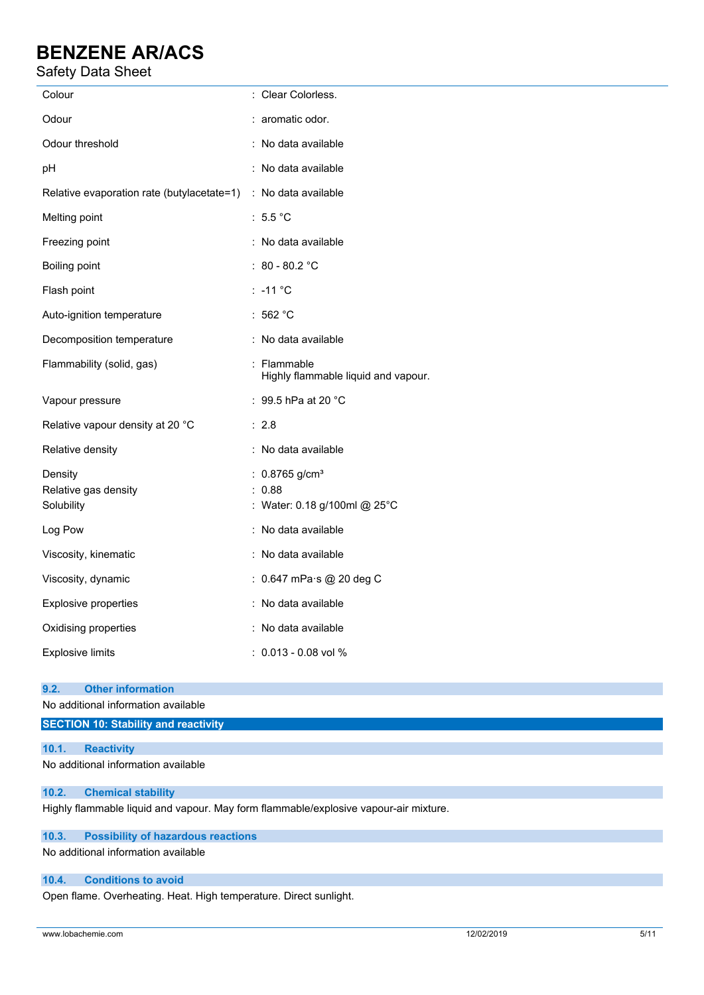## Safety Data Sheet

| Colour                                                         | : Clear Colorless.                                                     |
|----------------------------------------------------------------|------------------------------------------------------------------------|
| Odour                                                          | : aromatic odor.                                                       |
| Odour threshold                                                | : No data available                                                    |
| pН                                                             | : No data available                                                    |
| Relative evaporation rate (butylacetate=1) : No data available |                                                                        |
| Melting point                                                  | : $5.5^{\circ}$ C                                                      |
| Freezing point                                                 | : No data available                                                    |
| Boiling point                                                  | : $80 - 80.2$ °C                                                       |
| Flash point                                                    | $: -11 °C$                                                             |
| Auto-ignition temperature                                      | : 562 $^{\circ}$ C                                                     |
| Decomposition temperature                                      | : No data available                                                    |
| Flammability (solid, gas)                                      | : Flammable<br>Highly flammable liquid and vapour.                     |
| Vapour pressure                                                | : 99.5 hPa at 20 $^{\circ}$ C                                          |
| Relative vapour density at 20 °C                               | : 2.8                                                                  |
| Relative density                                               | : No data available                                                    |
| Density<br>Relative gas density<br>Solubility                  | : $0.8765$ g/cm <sup>3</sup><br>: 0.88<br>: Water: 0.18 g/100ml @ 25°C |
| Log Pow                                                        | : No data available                                                    |
| Viscosity, kinematic                                           | : No data available                                                    |
| Viscosity, dynamic                                             | : 0.647 mPa·s @ 20 deg C                                               |
| Explosive properties                                           | : No data available                                                    |
| Oxidising properties                                           | : No data available                                                    |
| <b>Explosive limits</b>                                        | $: 0.013 - 0.08$ vol %                                                 |

#### **9.2. Other information**

No additional information available

### **SECTION 10: Stability and reactivity**

### **10.1. Reactivity**

No additional information available

### **10.2. Chemical stability**

Highly flammable liquid and vapour. May form flammable/explosive vapour-air mixture.

#### **10.3. Possibility of hazardous reactions**

No additional information available

#### **10.4. Conditions to avoid**

Open flame. Overheating. Heat. High temperature. Direct sunlight.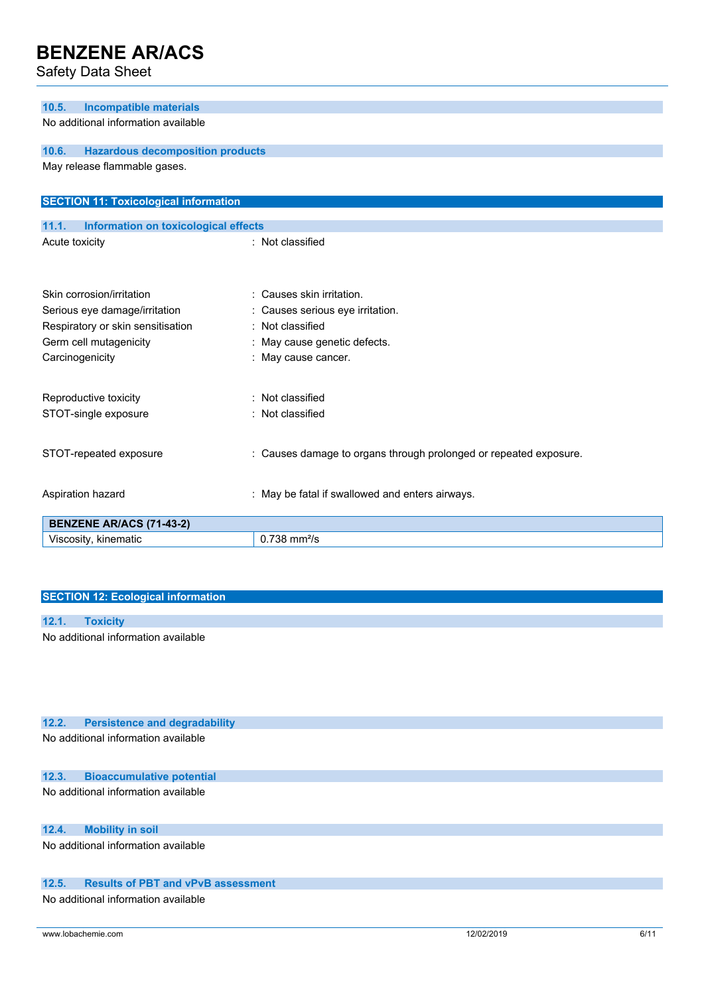Safety Data Sheet

| <b>Incompatible materials</b><br>10.5.               |                                                                   |
|------------------------------------------------------|-------------------------------------------------------------------|
| No additional information available                  |                                                                   |
| <b>Hazardous decomposition products</b><br>10.6.     |                                                                   |
| May release flammable gases.                         |                                                                   |
|                                                      |                                                                   |
| <b>SECTION 11: Toxicological information</b>         |                                                                   |
| <b>Information on toxicological effects</b><br>11.1. |                                                                   |
| Acute toxicity                                       | : Not classified                                                  |
|                                                      |                                                                   |
| Skin corrosion/irritation                            | : Causes skin irritation.                                         |
| Serious eye damage/irritation                        | Causes serious eye irritation.                                    |
| Respiratory or skin sensitisation<br>÷               | Not classified                                                    |
| Germ cell mutagenicity                               | May cause genetic defects.                                        |
| Carcinogenicity                                      | : May cause cancer.                                               |
|                                                      |                                                                   |
| Reproductive toxicity                                | Not classified                                                    |
| STOT-single exposure                                 | : Not classified                                                  |
| STOT-repeated exposure                               | : Causes damage to organs through prolonged or repeated exposure. |
|                                                      |                                                                   |
| Aspiration hazard                                    | : May be fatal if swallowed and enters airways.                   |
| <b>BENZENE AR/ACS (71-43-2)</b>                      |                                                                   |
| Viscosity, kinematic                                 | $0.738$ mm $2/s$                                                  |

### **SECTION 12: Ecological information**

| 12.1. |                                     |
|-------|-------------------------------------|
|       | No additional information available |

### **12.2. Persistence and degradability** No additional information available

### **12.3. Bioaccumulative potential**

No additional information available

## **12.4. Mobility in soil**

No additional information available

### **12.5. Results of PBT and vPvB assessment**

No additional information available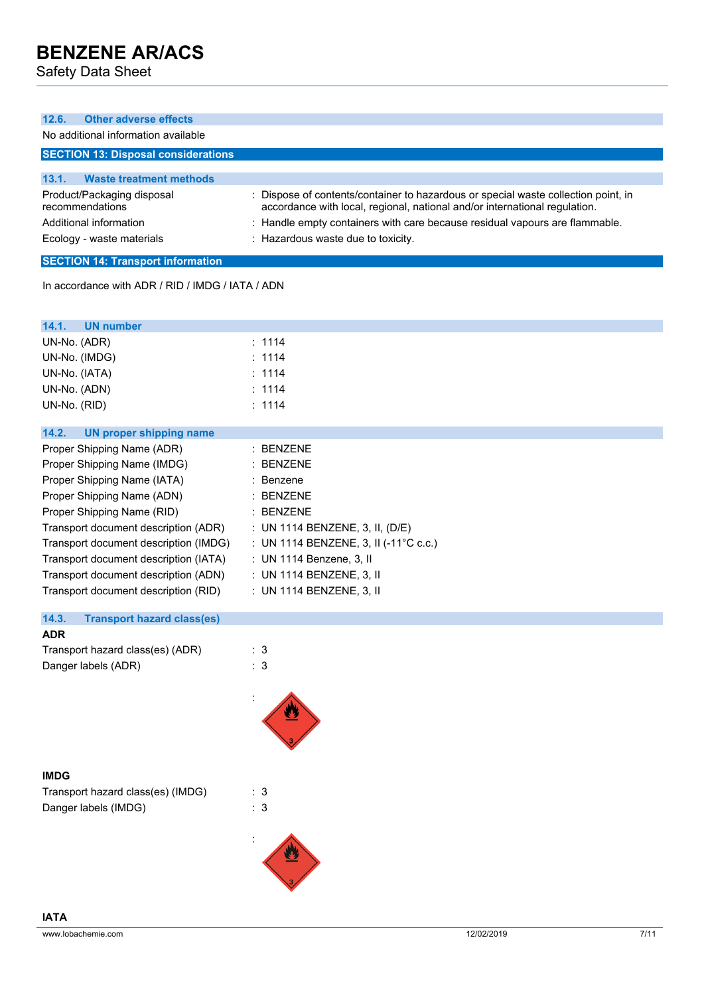Safety Data Sheet

| <b>Other adverse effects</b><br>12.6.                                                                                                                                                                                                                                                                                                                                                                                                                                                 |                                                                                                                                                                                                                                                                                     |
|---------------------------------------------------------------------------------------------------------------------------------------------------------------------------------------------------------------------------------------------------------------------------------------------------------------------------------------------------------------------------------------------------------------------------------------------------------------------------------------|-------------------------------------------------------------------------------------------------------------------------------------------------------------------------------------------------------------------------------------------------------------------------------------|
| No additional information available                                                                                                                                                                                                                                                                                                                                                                                                                                                   |                                                                                                                                                                                                                                                                                     |
| <b>SECTION 13: Disposal considerations</b>                                                                                                                                                                                                                                                                                                                                                                                                                                            |                                                                                                                                                                                                                                                                                     |
| 13.1.<br><b>Waste treatment methods</b>                                                                                                                                                                                                                                                                                                                                                                                                                                               |                                                                                                                                                                                                                                                                                     |
| Product/Packaging disposal<br>recommendations<br>Additional information<br>Ecology - waste materials                                                                                                                                                                                                                                                                                                                                                                                  | Dispose of contents/container to hazardous or special waste collection point, in<br>accordance with local, regional, national and/or international regulation.<br>: Handle empty containers with care because residual vapours are flammable.<br>: Hazardous waste due to toxicity. |
|                                                                                                                                                                                                                                                                                                                                                                                                                                                                                       |                                                                                                                                                                                                                                                                                     |
| <b>SECTION 14: Transport information</b>                                                                                                                                                                                                                                                                                                                                                                                                                                              |                                                                                                                                                                                                                                                                                     |
| In accordance with ADR / RID / IMDG / IATA / ADN                                                                                                                                                                                                                                                                                                                                                                                                                                      |                                                                                                                                                                                                                                                                                     |
| 14.1.<br><b>UN number</b>                                                                                                                                                                                                                                                                                                                                                                                                                                                             |                                                                                                                                                                                                                                                                                     |
| UN-No. (ADR)                                                                                                                                                                                                                                                                                                                                                                                                                                                                          | : 1114                                                                                                                                                                                                                                                                              |
| UN-No. (IMDG)                                                                                                                                                                                                                                                                                                                                                                                                                                                                         | 1114                                                                                                                                                                                                                                                                                |
| UN-No. (IATA)                                                                                                                                                                                                                                                                                                                                                                                                                                                                         | : 1114                                                                                                                                                                                                                                                                              |
| UN-No. (ADN)                                                                                                                                                                                                                                                                                                                                                                                                                                                                          | : 1114                                                                                                                                                                                                                                                                              |
| UN-No. (RID)                                                                                                                                                                                                                                                                                                                                                                                                                                                                          | : 1114                                                                                                                                                                                                                                                                              |
| 14.2.<br><b>UN proper shipping name</b>                                                                                                                                                                                                                                                                                                                                                                                                                                               |                                                                                                                                                                                                                                                                                     |
| Proper Shipping Name (ADR)<br>Proper Shipping Name (IMDG)<br>Proper Shipping Name (IATA)<br>Proper Shipping Name (ADN)<br>Proper Shipping Name (RID)<br>Transport document description (ADR)<br>Transport document description (IMDG)<br>Transport document description (IATA)<br>Transport document description (ADN)<br>Transport document description (RID)<br>14.3.<br><b>Transport hazard class(es)</b><br><b>ADR</b><br>Transport hazard class(es) (ADR)<br>Danger labels (ADR) | <b>BENZENE</b><br><b>BENZENE</b><br>: Benzene<br><b>BENZENE</b><br>: BENZENE<br>: UN 1114 BENZENE, 3, II, $(D/E)$<br>: UN 1114 BENZENE, 3, II (-11°C c.c.)<br>: UN 1114 Benzene, 3, II<br>: UN 1114 BENZENE, 3, II<br>: UN 1114 BENZENE, 3, II<br>: 3<br>$\therefore$ 3             |
| <b>IMDG</b><br>Transport hazard class(es) (IMDG)<br>Danger labels (IMDG)                                                                                                                                                                                                                                                                                                                                                                                                              | : 3<br>$\therefore$ 3                                                                                                                                                                                                                                                               |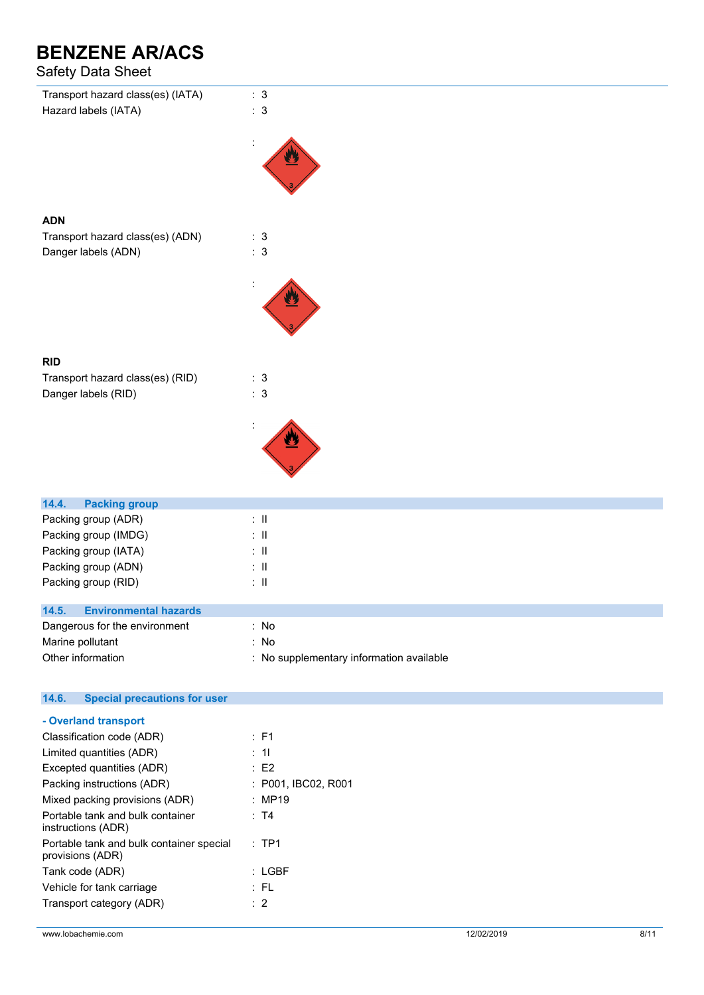# Safety Data Sheet

| Salely Dala Sileel                                      |                                          |
|---------------------------------------------------------|------------------------------------------|
| Transport hazard class(es) (IATA)                       | : 3                                      |
| Hazard labels (IATA)                                    | : 3                                      |
|                                                         |                                          |
|                                                         |                                          |
|                                                         |                                          |
|                                                         |                                          |
| <b>ADN</b>                                              |                                          |
| Transport hazard class(es) (ADN)                        | : 3                                      |
| Danger labels (ADN)                                     | : 3                                      |
|                                                         |                                          |
|                                                         |                                          |
|                                                         |                                          |
|                                                         |                                          |
|                                                         |                                          |
| <b>RID</b>                                              |                                          |
| Transport hazard class(es) (RID)<br>Danger labels (RID) | : 3<br>$\therefore$ 3                    |
|                                                         |                                          |
|                                                         |                                          |
|                                                         |                                          |
|                                                         |                                          |
|                                                         |                                          |
| 14.4.<br><b>Packing group</b>                           |                                          |
| Packing group (ADR)                                     | $\therefore$ II                          |
| Packing group (IMDG)                                    | $: \mathsf{II}$                          |
| Packing group (IATA)                                    | $\therefore$ H                           |
| Packing group (ADN)<br>Packing group (RID)              | $\colon \, \mathrm{I\!I}$<br>$:$ $\Pi$   |
|                                                         |                                          |
| <b>Environmental hazards</b><br>14.5.                   |                                          |
| Dangerous for the environment                           | : No                                     |
| Marine pollutant                                        | : No                                     |
| Other information                                       | : No supplementary information available |
| <b>Special precautions for user</b><br>14.6.            |                                          |
| - Overland transport                                    |                                          |
| Classification code (ADR)                               | : F1                                     |
| $I$ imited quantities $(ADD)$                           | $-41$                                    |

| Limited quantities (ADR)                                     | : 11                |
|--------------------------------------------------------------|---------------------|
| Excepted quantities (ADR)                                    | E2                  |
| Packing instructions (ADR)                                   | : P001, IBC02, R001 |
| Mixed packing provisions (ADR)                               | : MP19              |
| Portable tank and bulk container<br>instructions (ADR)       | : T4                |
| Portable tank and bulk container special<br>provisions (ADR) | $:$ TP1             |
| Tank code (ADR)                                              | : LGBF              |
| Vehicle for tank carriage                                    | : FL                |
| Transport category (ADR)                                     | $\therefore$ 2      |
|                                                              |                     |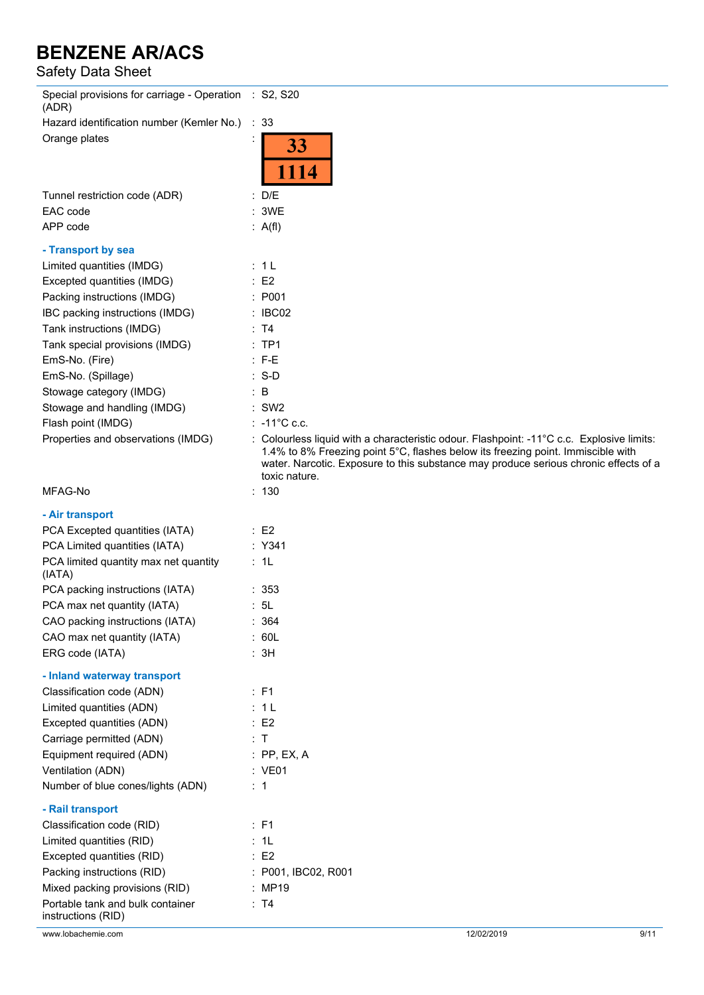## Safety Data Sheet

| Special provisions for carriage - Operation : S2, S20<br>(ADR) |                                                                                                                                                                                                                                                                                        |
|----------------------------------------------------------------|----------------------------------------------------------------------------------------------------------------------------------------------------------------------------------------------------------------------------------------------------------------------------------------|
| Hazard identification number (Kemler No.)                      | : 33                                                                                                                                                                                                                                                                                   |
| Orange plates                                                  | 33<br>1114                                                                                                                                                                                                                                                                             |
| Tunnel restriction code (ADR)                                  | : D/E                                                                                                                                                                                                                                                                                  |
| EAC code                                                       | 3WE                                                                                                                                                                                                                                                                                    |
| APP code                                                       | : A(f)                                                                                                                                                                                                                                                                                 |
| - Transport by sea                                             |                                                                                                                                                                                                                                                                                        |
| Limited quantities (IMDG)                                      | : 1L                                                                                                                                                                                                                                                                                   |
| Excepted quantities (IMDG)                                     | E2                                                                                                                                                                                                                                                                                     |
| Packing instructions (IMDG)                                    | : P001                                                                                                                                                                                                                                                                                 |
| IBC packing instructions (IMDG)                                | : IBCO2                                                                                                                                                                                                                                                                                |
| Tank instructions (IMDG)                                       | : T4                                                                                                                                                                                                                                                                                   |
| Tank special provisions (IMDG)                                 | $:$ TP1                                                                                                                                                                                                                                                                                |
| EmS-No. (Fire)                                                 | $: F-E$                                                                                                                                                                                                                                                                                |
| EmS-No. (Spillage)                                             | $: S-D$                                                                                                                                                                                                                                                                                |
| Stowage category (IMDG)                                        | $\therefore$ B                                                                                                                                                                                                                                                                         |
| Stowage and handling (IMDG)                                    | $:$ SW2                                                                                                                                                                                                                                                                                |
| Flash point (IMDG)                                             | $: -11^{\circ}$ C c.c.                                                                                                                                                                                                                                                                 |
| Properties and observations (IMDG)                             | : Colourless liquid with a characteristic odour. Flashpoint: -11°C c.c. Explosive limits:<br>1.4% to 8% Freezing point 5°C, flashes below its freezing point. Immiscible with<br>water. Narcotic. Exposure to this substance may produce serious chronic effects of a<br>toxic nature. |
| MFAG-No                                                        | : 130                                                                                                                                                                                                                                                                                  |
| - Air transport                                                |                                                                                                                                                                                                                                                                                        |
| PCA Excepted quantities (IATA)                                 | $\therefore$ E2                                                                                                                                                                                                                                                                        |
| PCA Limited quantities (IATA)                                  | : Y341                                                                                                                                                                                                                                                                                 |
| PCA limited quantity max net quantity<br>(IATA)                | : 1L                                                                                                                                                                                                                                                                                   |
| PCA packing instructions (IATA)                                | : 353                                                                                                                                                                                                                                                                                  |
| PCA max net quantity (IATA)                                    | : 5L                                                                                                                                                                                                                                                                                   |
| CAO packing instructions (IATA)                                | 364<br>÷                                                                                                                                                                                                                                                                               |
| CAO max net quantity (IATA)                                    | : 60L                                                                                                                                                                                                                                                                                  |
| ERG code (IATA)                                                | : 3H                                                                                                                                                                                                                                                                                   |
| - Inland waterway transport                                    |                                                                                                                                                                                                                                                                                        |
| Classification code (ADN)                                      | : F1                                                                                                                                                                                                                                                                                   |
| Limited quantities (ADN)                                       | : 1L                                                                                                                                                                                                                                                                                   |
| Excepted quantities (ADN)                                      | $\therefore$ E2                                                                                                                                                                                                                                                                        |
| Carriage permitted (ADN)                                       | : T                                                                                                                                                                                                                                                                                    |
| Equipment required (ADN)                                       | $:$ PP, EX, A                                                                                                                                                                                                                                                                          |
| Ventilation (ADN)                                              | : VE01                                                                                                                                                                                                                                                                                 |
| Number of blue cones/lights (ADN)                              | : 1                                                                                                                                                                                                                                                                                    |
| - Rail transport                                               |                                                                                                                                                                                                                                                                                        |
| Classification code (RID)                                      | : F1                                                                                                                                                                                                                                                                                   |
| Limited quantities (RID)                                       | : 1L                                                                                                                                                                                                                                                                                   |
| Excepted quantities (RID)                                      | $\therefore$ E2                                                                                                                                                                                                                                                                        |
| Packing instructions (RID)                                     | : P001, IBC02, R001                                                                                                                                                                                                                                                                    |
| Mixed packing provisions (RID)                                 | : MP19                                                                                                                                                                                                                                                                                 |
| Portable tank and bulk container                               | : T4                                                                                                                                                                                                                                                                                   |
| instructions (RID)                                             |                                                                                                                                                                                                                                                                                        |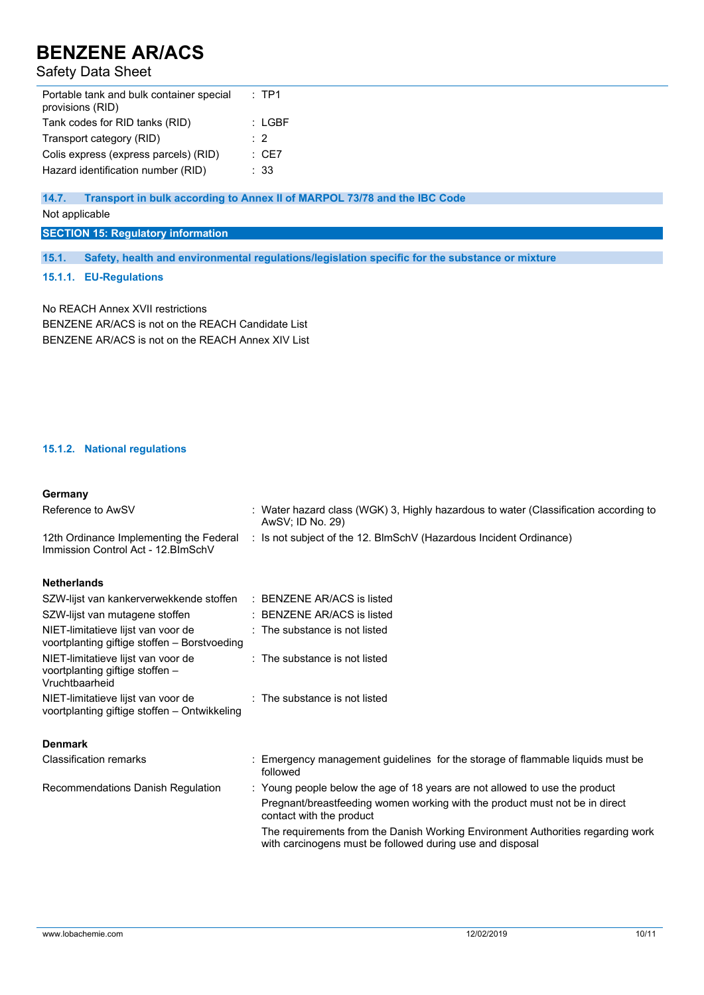## Safety Data Sheet

| Portable tank and bulk container special<br>provisions (RID) | $:$ TP1          |  |
|--------------------------------------------------------------|------------------|--|
| Tank codes for RID tanks (RID)                               | : LGBF           |  |
| Transport category (RID)                                     | $\cdot$ 2        |  |
| Colis express (express parcels) (RID)                        | $\therefore$ CE7 |  |
| Hazard identification number (RID)                           | $\cdot$ 33       |  |

### **14.7. Transport in bulk according to Annex II of MARPOL 73/78 and the IBC Code**

Not applicable

### **SECTION 15: Regulatory information**

**15.1. Safety, health and environmental regulations/legislation specific for the substance or mixture**

#### **15.1.1. EU-Regulations**

No REACH Annex XVII restrictions BENZENE AR/ACS is not on the REACH Candidate List BENZENE AR/ACS is not on the REACH Annex XIV List

### **15.1.2. National regulations**

#### **Germany**

| Reference to AwSV                                                                       | : Water hazard class (WGK) 3, Highly hazardous to water (Classification according to<br>AwSV; ID No. 29)                                     |
|-----------------------------------------------------------------------------------------|----------------------------------------------------------------------------------------------------------------------------------------------|
| 12th Ordinance Implementing the Federal<br>Immission Control Act - 12. BlmSchV          | : Is not subject of the 12. BlmSchV (Hazardous Incident Ordinance)                                                                           |
| <b>Netherlands</b>                                                                      |                                                                                                                                              |
| SZW-lijst van kankerverwekkende stoffen : BENZENE AR/ACS is listed                      |                                                                                                                                              |
| SZW-lijst van mutagene stoffen                                                          | : BENZENE AR/ACS is listed                                                                                                                   |
| NIET-limitatieve lijst van voor de<br>voortplanting giftige stoffen - Borstvoeding      | : The substance is not listed                                                                                                                |
| NIET-limitatieve lijst van voor de<br>voortplanting giftige stoffen -<br>Vruchtbaarheid | : The substance is not listed                                                                                                                |
| NIET-limitatieve lijst van voor de<br>voortplanting giftige stoffen - Ontwikkeling      | : The substance is not listed                                                                                                                |
| <b>Denmark</b>                                                                          |                                                                                                                                              |
| <b>Classification remarks</b>                                                           | : Emergency management guidelines for the storage of flammable liquids must be<br>followed                                                   |
| Recommendations Danish Regulation                                                       | : Young people below the age of 18 years are not allowed to use the product                                                                  |
|                                                                                         | Pregnant/breastfeeding women working with the product must not be in direct<br>contact with the product                                      |
|                                                                                         | The requirements from the Danish Working Environment Authorities regarding work<br>with carcinogens must be followed during use and disposal |
|                                                                                         |                                                                                                                                              |